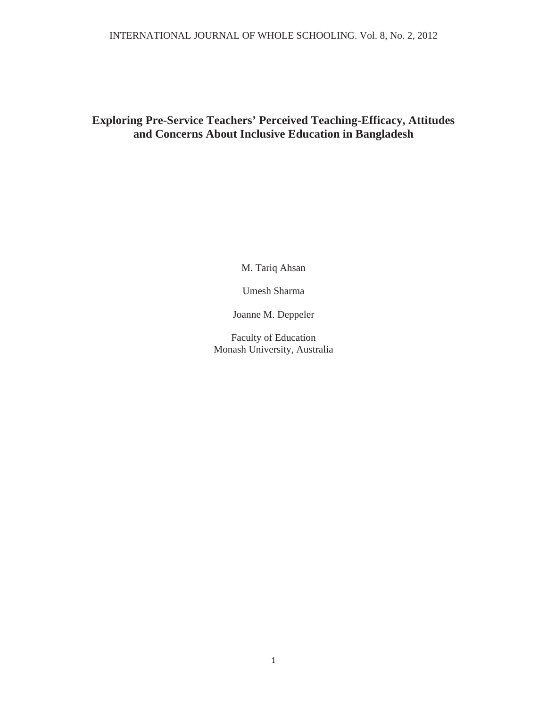# **Exploring Pre-Service Teachers' Perceived Teaching-Efficacy, Attitudes and Concerns About Inclusive Education in Bangladesh**

M. Tariq Ahsan

Umesh Sharma

Joanne M. Deppeler

Faculty of Education Monash University, Australia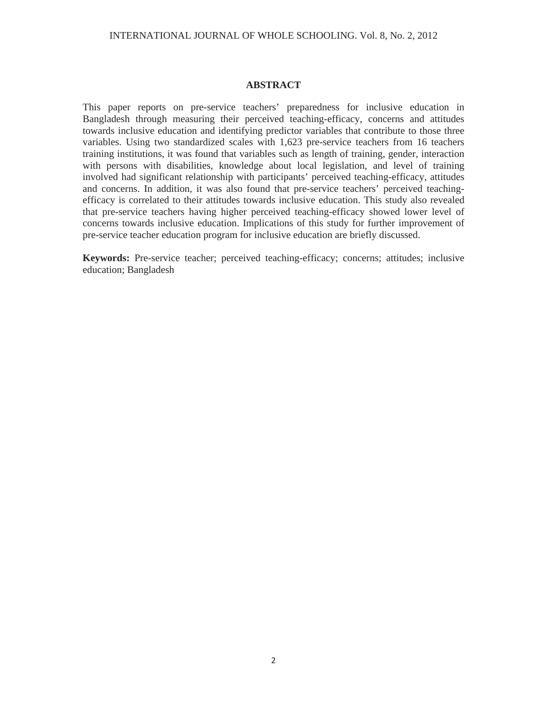#### **ABSTRACT**

This paper reports on pre-service teachers' preparedness for inclusive education in Bangladesh through measuring their perceived teaching-efficacy, concerns and attitudes towards inclusive education and identifying predictor variables that contribute to those three variables. Using two standardized scales with 1,623 pre-service teachers from 16 teachers training institutions, it was found that variables such as length of training, gender, interaction with persons with disabilities, knowledge about local legislation, and level of training involved had significant relationship with participants' perceived teaching-efficacy, attitudes and concerns. In addition, it was also found that pre-service teachers' perceived teachingefficacy is correlated to their attitudes towards inclusive education. This study also revealed that pre-service teachers having higher perceived teaching-efficacy showed lower level of concerns towards inclusive education. Implications of this study for further improvement of pre-service teacher education program for inclusive education are briefly discussed.

**Keywords:** Pre-service teacher; perceived teaching-efficacy; concerns; attitudes; inclusive education; Bangladesh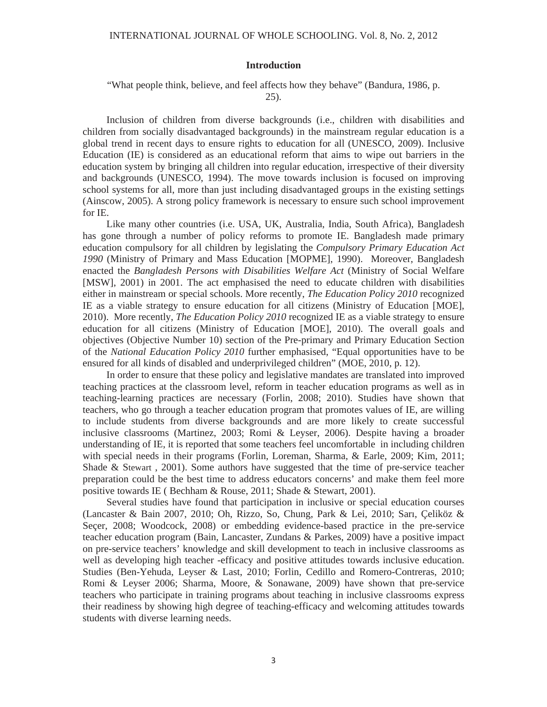#### **Introduction**

"What people think, believe, and feel affects how they behave" (Bandura, 1986, p.

25).

Inclusion of children from diverse backgrounds (i.e., children with disabilities and children from socially disadvantaged backgrounds) in the mainstream regular education is a global trend in recent days to ensure rights to education for all (UNESCO, 2009). Inclusive Education (IE) is considered as an educational reform that aims to wipe out barriers in the education system by bringing all children into regular education, irrespective of their diversity and backgrounds (UNESCO, 1994). The move towards inclusion is focused on improving school systems for all, more than just including disadvantaged groups in the existing settings (Ainscow, 2005). A strong policy framework is necessary to ensure such school improvement for IE.

Like many other countries (i.e. USA, UK, Australia, India, South Africa), Bangladesh has gone through a number of policy reforms to promote IE. Bangladesh made primary education compulsory for all children by legislating the *Compulsory Primary Education Act 1990* (Ministry of Primary and Mass Education [MOPME], 1990). Moreover, Bangladesh enacted the *Bangladesh Persons with Disabilities Welfare Act* (Ministry of Social Welfare [MSW], 2001) in 2001. The act emphasised the need to educate children with disabilities either in mainstream or special schools. More recently, *The Education Policy 2010* recognized IE as a viable strategy to ensure education for all citizens (Ministry of Education [MOE], 2010). More recently, *The Education Policy 2010* recognized IE as a viable strategy to ensure education for all citizens (Ministry of Education [MOE], 2010). The overall goals and objectives (Objective Number 10) section of the Pre-primary and Primary Education Section of the *National Education Policy 2010* further emphasised, "Equal opportunities have to be ensured for all kinds of disabled and underprivileged children" (MOE, 2010, p. 12).

In order to ensure that these policy and legislative mandates are translated into improved teaching practices at the classroom level, reform in teacher education programs as well as in teaching-learning practices are necessary (Forlin, 2008; 2010). Studies have shown that teachers, who go through a teacher education program that promotes values of IE, are willing to include students from diverse backgrounds and are more likely to create successful inclusive classrooms (Martinez, 2003; Romi & Leyser, 2006). Despite having a broader understanding of IE, it is reported that some teachers feel uncomfortable in including children with special needs in their programs (Forlin, Loreman, Sharma, & Earle, 2009; Kim, 2011; Shade & Stewart , 2001). Some authors have suggested that the time of pre-service teacher preparation could be the best time to address educators concerns' and make them feel more positive towards IE ( Bechham & Rouse, 2011; Shade & Stewart, 2001).

Several studies have found that participation in inclusive or special education courses (Lancaster & Bain 2007, 2010; Oh, Rizzo, So, Chung, Park & Lei, 2010; Sarı, Çeliköz & Seçer, 2008; Woodcock, 2008) or embedding evidence-based practice in the pre-service teacher education program (Bain, Lancaster, Zundans & Parkes, 2009) have a positive impact on pre-service teachers' knowledge and skill development to teach in inclusive classrooms as well as developing high teacher -efficacy and positive attitudes towards inclusive education. Studies (Ben-Yehuda, Leyser & Last, 2010; Forlin, Cedillo and Romero-Contreras, 2010; Romi & Leyser 2006; Sharma, Moore, & Sonawane, 2009) have shown that pre-service teachers who participate in training programs about teaching in inclusive classrooms express their readiness by showing high degree of teaching-efficacy and welcoming attitudes towards students with diverse learning needs.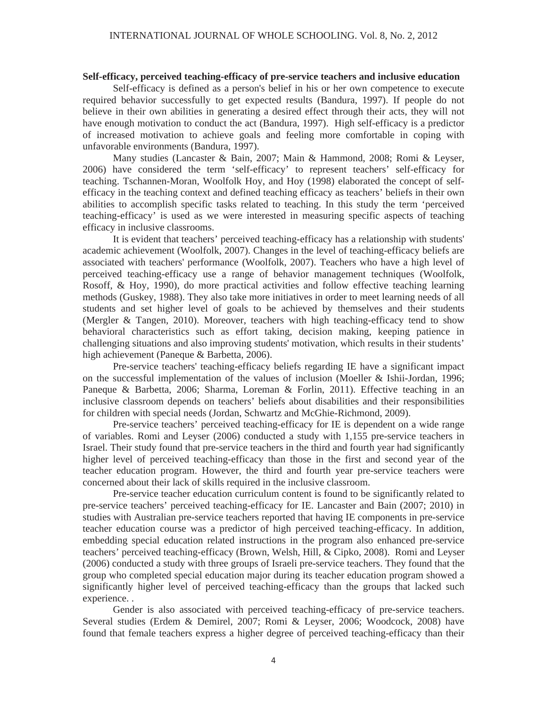### **Self-efficacy, perceived teaching-efficacy of pre-service teachers and inclusive education**

Self-efficacy is defined as a person's belief in his or her own competence to execute required behavior successfully to get expected results (Bandura, 1997). If people do not believe in their own abilities in generating a desired effect through their acts, they will not have enough motivation to conduct the act (Bandura, 1997). High self-efficacy is a predictor of increased motivation to achieve goals and feeling more comfortable in coping with unfavorable environments (Bandura, 1997).

Many studies (Lancaster & Bain, 2007; Main & Hammond, 2008; Romi & Leyser, 2006) have considered the term 'self-efficacy' to represent teachers' self-efficacy for teaching. Tschannen-Moran, Woolfolk Hoy, and Hoy (1998) elaborated the concept of selfefficacy in the teaching context and defined teaching efficacy as teachers' beliefs in their own abilities to accomplish specific tasks related to teaching. In this study the term 'perceived teaching-efficacy' is used as we were interested in measuring specific aspects of teaching efficacy in inclusive classrooms.

It is evident that teachers' perceived teaching-efficacy has a relationship with students' academic achievement (Woolfolk, 2007). Changes in the level of teaching-efficacy beliefs are associated with teachers' performance (Woolfolk, 2007). Teachers who have a high level of perceived teaching-efficacy use a range of behavior management techniques (Woolfolk, Rosoff, & Hoy, 1990), do more practical activities and follow effective teaching learning methods (Guskey, 1988). They also take more initiatives in order to meet learning needs of all students and set higher level of goals to be achieved by themselves and their students (Mergler & Tangen, 2010). Moreover, teachers with high teaching-efficacy tend to show behavioral characteristics such as effort taking, decision making, keeping patience in challenging situations and also improving students' motivation, which results in their students' high achievement (Paneque & Barbetta, 2006).

Pre-service teachers' teaching-efficacy beliefs regarding IE have a significant impact on the successful implementation of the values of inclusion (Moeller & Ishii-Jordan, 1996; Paneque & Barbetta, 2006; Sharma, Loreman & Forlin, 2011). Effective teaching in an inclusive classroom depends on teachers' beliefs about disabilities and their responsibilities for children with special needs (Jordan, Schwartz and McGhie-Richmond, 2009).

Pre-service teachers' perceived teaching-efficacy for IE is dependent on a wide range of variables. Romi and Leyser (2006) conducted a study with 1,155 pre-service teachers in Israel. Their study found that pre-service teachers in the third and fourth year had significantly higher level of perceived teaching-efficacy than those in the first and second year of the teacher education program. However, the third and fourth year pre-service teachers were concerned about their lack of skills required in the inclusive classroom.

Pre-service teacher education curriculum content is found to be significantly related to pre-service teachers' perceived teaching-efficacy for IE. Lancaster and Bain (2007; 2010) in studies with Australian pre-service teachers reported that having IE components in pre-service teacher education course was a predictor of high perceived teaching-efficacy. In addition, embedding special education related instructions in the program also enhanced pre-service teachers' perceived teaching-efficacy (Brown, Welsh, Hill, & Cipko, 2008). Romi and Leyser (2006) conducted a study with three groups of Israeli pre-service teachers. They found that the group who completed special education major during its teacher education program showed a significantly higher level of perceived teaching-efficacy than the groups that lacked such experience. .

Gender is also associated with perceived teaching-efficacy of pre-service teachers. Several studies (Erdem & Demirel, 2007; Romi & Leyser, 2006; Woodcock, 2008) have found that female teachers express a higher degree of perceived teaching-efficacy than their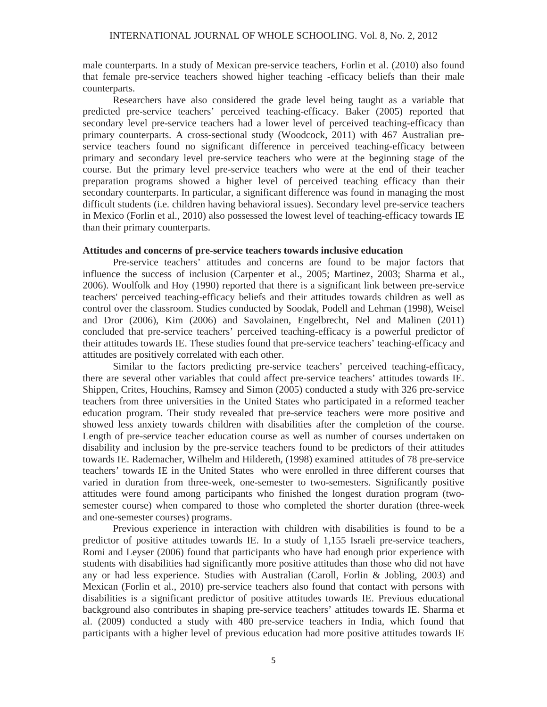male counterparts. In a study of Mexican pre-service teachers, Forlin et al. (2010) also found that female pre-service teachers showed higher teaching -efficacy beliefs than their male counterparts.

Researchers have also considered the grade level being taught as a variable that predicted pre-service teachers' perceived teaching-efficacy. Baker (2005) reported that secondary level pre-service teachers had a lower level of perceived teaching-efficacy than primary counterparts. A cross-sectional study (Woodcock, 2011) with 467 Australian preservice teachers found no significant difference in perceived teaching-efficacy between primary and secondary level pre-service teachers who were at the beginning stage of the course. But the primary level pre-service teachers who were at the end of their teacher preparation programs showed a higher level of perceived teaching efficacy than their secondary counterparts. In particular, a significant difference was found in managing the most difficult students (i.e. children having behavioral issues). Secondary level pre-service teachers in Mexico (Forlin et al., 2010) also possessed the lowest level of teaching-efficacy towards IE than their primary counterparts.

## **Attitudes and concerns of pre-service teachers towards inclusive education**

Pre-service teachers' attitudes and concerns are found to be major factors that influence the success of inclusion (Carpenter et al., 2005; Martinez, 2003; Sharma et al., 2006). Woolfolk and Hoy (1990) reported that there is a significant link between pre-service teachers' perceived teaching-efficacy beliefs and their attitudes towards children as well as control over the classroom. Studies conducted by Soodak, Podell and Lehman (1998), Weisel and Dror (2006), Kim (2006) and Savolainen, Engelbrecht, Nel and Malinen (2011) concluded that pre-service teachers' perceived teaching-efficacy is a powerful predictor of their attitudes towards IE. These studies found that pre-service teachers' teaching-efficacy and attitudes are positively correlated with each other.

Similar to the factors predicting pre-service teachers' perceived teaching-efficacy, there are several other variables that could affect pre-service teachers' attitudes towards IE. Shippen, Crites, Houchins, Ramsey and Simon (2005) conducted a study with 326 pre-service teachers from three universities in the United States who participated in a reformed teacher education program. Their study revealed that pre-service teachers were more positive and showed less anxiety towards children with disabilities after the completion of the course. Length of pre-service teacher education course as well as number of courses undertaken on disability and inclusion by the pre-service teachers found to be predictors of their attitudes towards IE. Rademacher, Wilhelm and Hildereth, (1998) examined attitudes of 78 pre-service teachers' towards IE in the United States who were enrolled in three different courses that varied in duration from three-week, one-semester to two-semesters. Significantly positive attitudes were found among participants who finished the longest duration program (twosemester course) when compared to those who completed the shorter duration (three-week and one-semester courses) programs.

Previous experience in interaction with children with disabilities is found to be a predictor of positive attitudes towards IE. In a study of 1,155 Israeli pre-service teachers, Romi and Leyser (2006) found that participants who have had enough prior experience with students with disabilities had significantly more positive attitudes than those who did not have any or had less experience. Studies with Australian (Caroll, Forlin & Jobling, 2003) and Mexican (Forlin et al., 2010) pre-service teachers also found that contact with persons with disabilities is a significant predictor of positive attitudes towards IE. Previous educational background also contributes in shaping pre-service teachers' attitudes towards IE. Sharma et al. (2009) conducted a study with 480 pre-service teachers in India, which found that participants with a higher level of previous education had more positive attitudes towards IE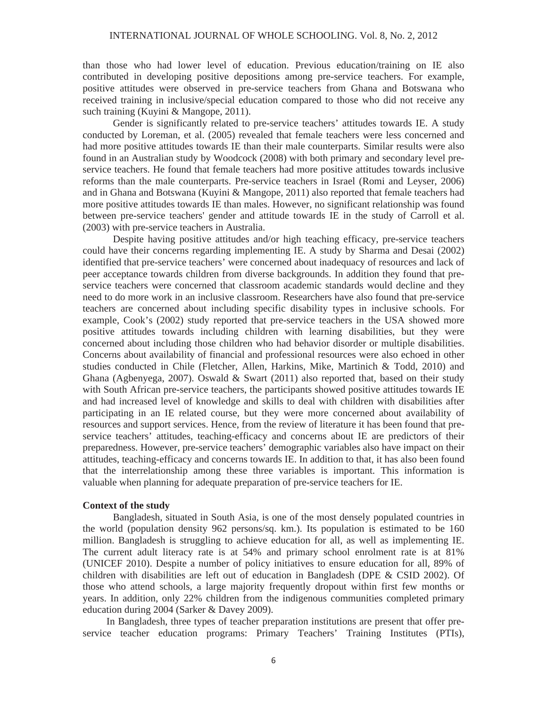than those who had lower level of education. Previous education/training on IE also contributed in developing positive depositions among pre-service teachers. For example, positive attitudes were observed in pre-service teachers from Ghana and Botswana who received training in inclusive/special education compared to those who did not receive any such training (Kuyini & Mangope, 2011).

Gender is significantly related to pre-service teachers' attitudes towards IE. A study conducted by Loreman, et al. (2005) revealed that female teachers were less concerned and had more positive attitudes towards IE than their male counterparts. Similar results were also found in an Australian study by Woodcock (2008) with both primary and secondary level preservice teachers. He found that female teachers had more positive attitudes towards inclusive reforms than the male counterparts. Pre-service teachers in Israel (Romi and Leyser, 2006) and in Ghana and Botswana (Kuyini & Mangope, 2011) also reported that female teachers had more positive attitudes towards IE than males. However, no significant relationship was found between pre-service teachers' gender and attitude towards IE in the study of Carroll et al. (2003) with pre-service teachers in Australia.

Despite having positive attitudes and/or high teaching efficacy, pre-service teachers could have their concerns regarding implementing IE. A study by Sharma and Desai (2002) identified that pre-service teachers' were concerned about inadequacy of resources and lack of peer acceptance towards children from diverse backgrounds. In addition they found that preservice teachers were concerned that classroom academic standards would decline and they need to do more work in an inclusive classroom. Researchers have also found that pre-service teachers are concerned about including specific disability types in inclusive schools. For example, Cook's (2002) study reported that pre-service teachers in the USA showed more positive attitudes towards including children with learning disabilities, but they were concerned about including those children who had behavior disorder or multiple disabilities. Concerns about availability of financial and professional resources were also echoed in other studies conducted in Chile (Fletcher, Allen, Harkins, Mike, Martinich & Todd, 2010) and Ghana (Agbenyega, 2007). Oswald & Swart (2011) also reported that, based on their study with South African pre-service teachers, the participants showed positive attitudes towards IE and had increased level of knowledge and skills to deal with children with disabilities after participating in an IE related course, but they were more concerned about availability of resources and support services. Hence, from the review of literature it has been found that preservice teachers' attitudes, teaching-efficacy and concerns about IE are predictors of their preparedness. However, pre-service teachers' demographic variables also have impact on their attitudes, teaching-efficacy and concerns towards IE. In addition to that, it has also been found that the interrelationship among these three variables is important. This information is valuable when planning for adequate preparation of pre-service teachers for IE.

## **Context of the study**

Bangladesh, situated in South Asia, is one of the most densely populated countries in the world (population density 962 persons/sq. km.). Its population is estimated to be 160 million. Bangladesh is struggling to achieve education for all, as well as implementing IE. The current adult literacy rate is at 54% and primary school enrolment rate is at 81% (UNICEF 2010). Despite a number of policy initiatives to ensure education for all, 89% of children with disabilities are left out of education in Bangladesh (DPE & CSID 2002). Of those who attend schools, a large majority frequently dropout within first few months or years. In addition, only 22% children from the indigenous communities completed primary education during 2004 (Sarker & Davey 2009).

In Bangladesh, three types of teacher preparation institutions are present that offer preservice teacher education programs: Primary Teachers' Training Institutes (PTIs),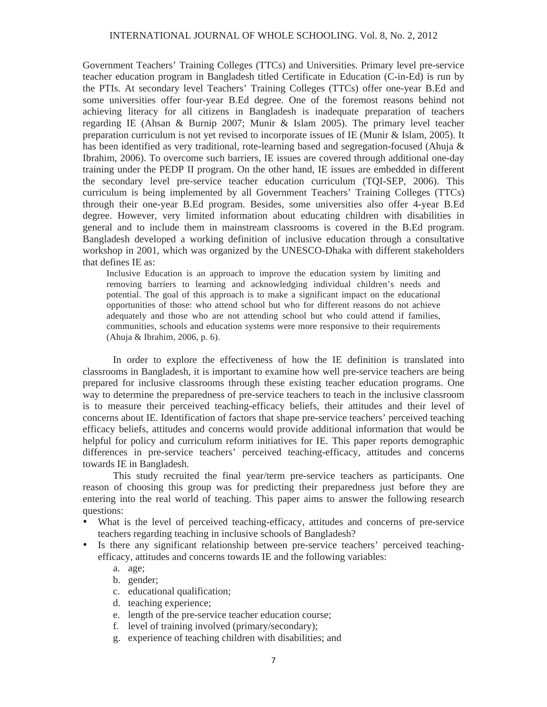Government Teachers' Training Colleges (TTCs) and Universities. Primary level pre-service teacher education program in Bangladesh titled Certificate in Education (C-in-Ed) is run by the PTIs. At secondary level Teachers' Training Colleges (TTCs) offer one-year B.Ed and some universities offer four-year B.Ed degree. One of the foremost reasons behind not achieving literacy for all citizens in Bangladesh is inadequate preparation of teachers regarding IE (Ahsan & Burnip 2007; Munir & Islam 2005). The primary level teacher preparation curriculum is not yet revised to incorporate issues of IE (Munir & Islam, 2005). It has been identified as very traditional, rote-learning based and segregation-focused (Ahuja & Ibrahim, 2006). To overcome such barriers, IE issues are covered through additional one-day training under the PEDP II program. On the other hand, IE issues are embedded in different the secondary level pre-service teacher education curriculum (TQI-SEP, 2006). This curriculum is being implemented by all Government Teachers' Training Colleges (TTCs) through their one-year B.Ed program. Besides, some universities also offer 4-year B.Ed degree. However, very limited information about educating children with disabilities in general and to include them in mainstream classrooms is covered in the B.Ed program. Bangladesh developed a working definition of inclusive education through a consultative workshop in 2001, which was organized by the UNESCO-Dhaka with different stakeholders that defines IE as:

Inclusive Education is an approach to improve the education system by limiting and removing barriers to learning and acknowledging individual children's needs and potential. The goal of this approach is to make a significant impact on the educational opportunities of those: who attend school but who for different reasons do not achieve adequately and those who are not attending school but who could attend if families, communities, schools and education systems were more responsive to their requirements (Ahuja & Ibrahim, 2006, p. 6).

In order to explore the effectiveness of how the IE definition is translated into classrooms in Bangladesh, it is important to examine how well pre-service teachers are being prepared for inclusive classrooms through these existing teacher education programs. One way to determine the preparedness of pre-service teachers to teach in the inclusive classroom is to measure their perceived teaching-efficacy beliefs, their attitudes and their level of concerns about IE. Identification of factors that shape pre-service teachers' perceived teaching efficacy beliefs, attitudes and concerns would provide additional information that would be helpful for policy and curriculum reform initiatives for IE. This paper reports demographic differences in pre-service teachers' perceived teaching-efficacy, attitudes and concerns towards IE in Bangladesh.

This study recruited the final year/term pre-service teachers as participants. One reason of choosing this group was for predicting their preparedness just before they are entering into the real world of teaching. This paper aims to answer the following research questions:

- What is the level of perceived teaching-efficacy, attitudes and concerns of pre-service teachers regarding teaching in inclusive schools of Bangladesh?
- Is there any significant relationship between pre-service teachers' perceived teachingefficacy, attitudes and concerns towards IE and the following variables:
	- a. age;
	- b. gender;
	- c. educational qualification;
	- d. teaching experience;
	- e. length of the pre-service teacher education course;
	- f. level of training involved (primary/secondary);
	- g. experience of teaching children with disabilities; and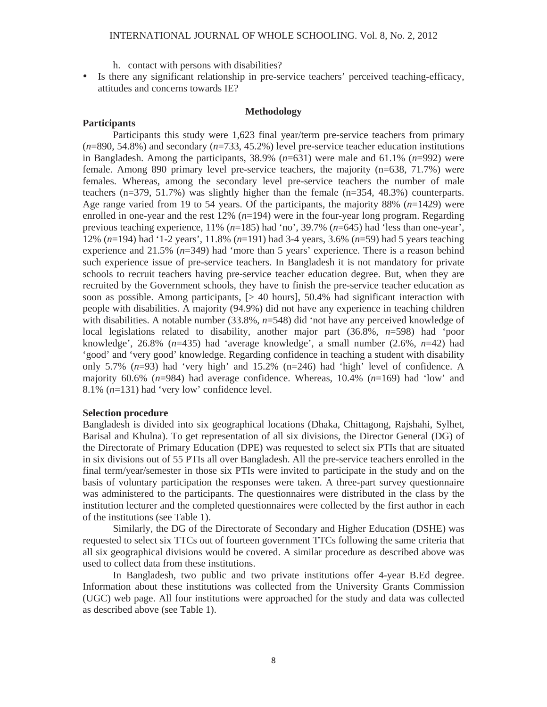h. contact with persons with disabilities?

• Is there any significant relationship in pre-service teachers' perceived teaching-efficacy, attitudes and concerns towards IE?

#### **Methodology**

## **Participants**

Participants this study were 1,623 final year/term pre-service teachers from primary (*n*=890, 54.8%) and secondary (*n*=733, 45.2%) level pre-service teacher education institutions in Bangladesh. Among the participants, 38.9% (*n*=631) were male and 61.1% (*n*=992) were female. Among 890 primary level pre-service teachers, the majority (n=638, 71.7%) were females. Whereas, among the secondary level pre-service teachers the number of male teachers (n=379, 51.7%) was slightly higher than the female  $(n=354, 48.3%)$  counterparts. Age range varied from 19 to 54 years. Of the participants, the majority 88% (*n*=1429) were enrolled in one-year and the rest 12% (*n*=194) were in the four-year long program. Regarding previous teaching experience, 11% (*n*=185) had 'no', 39.7% (*n*=645) had 'less than one-year', 12% (*n*=194) had '1-2 years', 11.8% (*n*=191) had 3-4 years, 3.6% (*n*=59) had 5 years teaching experience and 21.5% (*n*=349) had 'more than 5 years' experience. There is a reason behind such experience issue of pre-service teachers. In Bangladesh it is not mandatory for private schools to recruit teachers having pre-service teacher education degree. But, when they are recruited by the Government schools, they have to finish the pre-service teacher education as soon as possible. Among participants, [> 40 hours], 50.4% had significant interaction with people with disabilities. A majority (94.9%) did not have any experience in teaching children with disabilities. A notable number (33.8%, *n*=548) did 'not have any perceived knowledge of local legislations related to disability, another major part (36.8%, *n*=598) had 'poor knowledge', 26.8% (*n*=435) had 'average knowledge', a small number (2.6%, *n*=42) had 'good' and 'very good' knowledge. Regarding confidence in teaching a student with disability only 5.7% (*n*=93) had 'very high' and 15.2% (n=246) had 'high' level of confidence. A majority 60.6% (*n*=984) had average confidence. Whereas, 10.4% (*n*=169) had 'low' and 8.1% (*n*=131) had 'very low' confidence level.

## **Selection procedure**

Bangladesh is divided into six geographical locations (Dhaka, Chittagong, Rajshahi, Sylhet, Barisal and Khulna). To get representation of all six divisions, the Director General (DG) of the Directorate of Primary Education (DPE) was requested to select six PTIs that are situated in six divisions out of 55 PTIs all over Bangladesh. All the pre-service teachers enrolled in the final term/year/semester in those six PTIs were invited to participate in the study and on the basis of voluntary participation the responses were taken. A three-part survey questionnaire was administered to the participants. The questionnaires were distributed in the class by the institution lecturer and the completed questionnaires were collected by the first author in each of the institutions (see Table 1).

Similarly, the DG of the Directorate of Secondary and Higher Education (DSHE) was requested to select six TTCs out of fourteen government TTCs following the same criteria that all six geographical divisions would be covered. A similar procedure as described above was used to collect data from these institutions.

In Bangladesh, two public and two private institutions offer 4-year B.Ed degree. Information about these institutions was collected from the University Grants Commission (UGC) web page. All four institutions were approached for the study and data was collected as described above (see Table 1).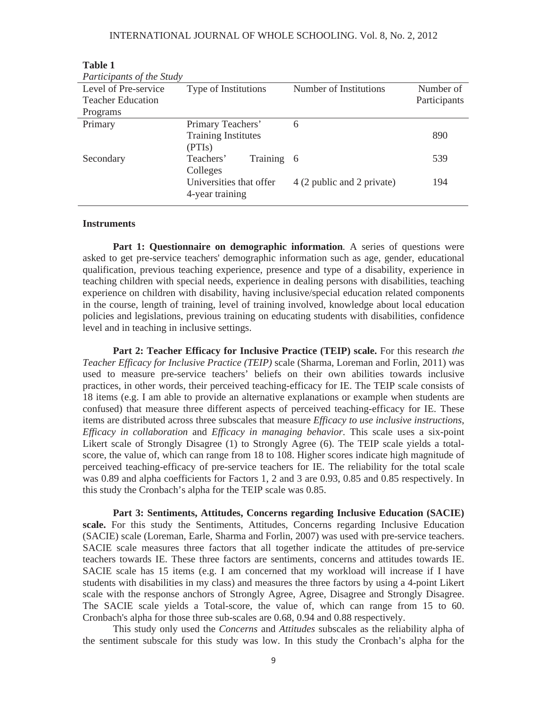| Participants of the Study  |                            |              |  |  |  |  |  |
|----------------------------|----------------------------|--------------|--|--|--|--|--|
| Type of Institutions       | Number of Institutions     | Number of    |  |  |  |  |  |
|                            |                            | Participants |  |  |  |  |  |
|                            |                            |              |  |  |  |  |  |
| Primary Teachers'          | 6                          |              |  |  |  |  |  |
| <b>Training Institutes</b> |                            | 890          |  |  |  |  |  |
| (PTIs)                     |                            |              |  |  |  |  |  |
| Teachers'                  |                            | 539          |  |  |  |  |  |
| Colleges                   |                            |              |  |  |  |  |  |
| Universities that offer    | 4 (2 public and 2 private) | 194          |  |  |  |  |  |
| 4-year training            |                            |              |  |  |  |  |  |
|                            |                            | Training 6   |  |  |  |  |  |

**Table 1**

#### **Instruments**

**Part 1: Questionnaire on demographic information.** A series of questions were asked to get pre-service teachers' demographic information such as age, gender, educational qualification, previous teaching experience, presence and type of a disability, experience in teaching children with special needs, experience in dealing persons with disabilities, teaching experience on children with disability, having inclusive/special education related components in the course, length of training, level of training involved, knowledge about local education policies and legislations, previous training on educating students with disabilities, confidence level and in teaching in inclusive settings.

**Part 2: Teacher Efficacy for Inclusive Practice (TEIP) scale.** For this research *the Teacher Efficacy for Inclusive Practice (TEIP)* scale (Sharma, Loreman and Forlin, 2011) was used to measure pre-service teachers' beliefs on their own abilities towards inclusive practices, in other words, their perceived teaching-efficacy for IE. The TEIP scale consists of 18 items (e.g. I am able to provide an alternative explanations or example when students are confused) that measure three different aspects of perceived teaching-efficacy for IE. These items are distributed across three subscales that measure *Efficacy to use inclusive instructions*, *Efficacy in collaboration* and *Efficacy in managing behavior*. This scale uses a six-point Likert scale of Strongly Disagree (1) to Strongly Agree (6). The TEIP scale yields a totalscore, the value of, which can range from 18 to 108. Higher scores indicate high magnitude of perceived teaching-efficacy of pre-service teachers for IE. The reliability for the total scale was 0.89 and alpha coefficients for Factors 1, 2 and 3 are 0.93, 0.85 and 0.85 respectively. In this study the Cronbach's alpha for the TEIP scale was 0.85.

**Part 3: Sentiments, Attitudes, Concerns regarding Inclusive Education (SACIE) scale.** For this study the Sentiments, Attitudes, Concerns regarding Inclusive Education (SACIE) scale (Loreman, Earle, Sharma and Forlin, 2007) was used with pre-service teachers. SACIE scale measures three factors that all together indicate the attitudes of pre-service teachers towards IE. These three factors are sentiments, concerns and attitudes towards IE. SACIE scale has 15 items (e.g. I am concerned that my workload will increase if I have students with disabilities in my class) and measures the three factors by using a 4-point Likert scale with the response anchors of Strongly Agree, Agree, Disagree and Strongly Disagree. The SACIE scale yields a Total-score, the value of, which can range from 15 to 60. Cronbach's alpha for those three sub-scales are 0.68, 0.94 and 0.88 respectively.

This study only used the *Concerns* and *Attitudes* subscales as the reliability alpha of the sentiment subscale for this study was low. In this study the Cronbach's alpha for the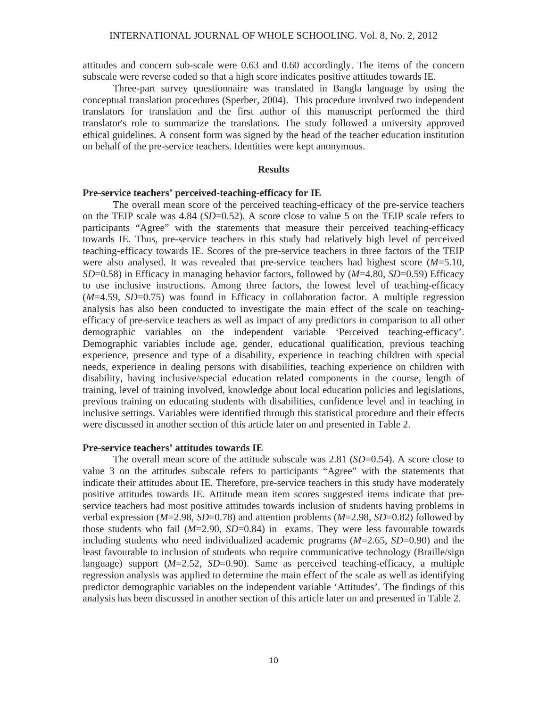attitudes and concern sub-scale were 0.63 and 0.60 accordingly. The items of the concern subscale were reverse coded so that a high score indicates positive attitudes towards IE.

Three-part survey questionnaire was translated in Bangla language by using the conceptual translation procedures (Sperber, 2004). This procedure involved two independent translators for translation and the first author of this manuscript performed the third translator's role to summarize the translations. The study followed a university approved ethical guidelines. A consent form was signed by the head of the teacher education institution on behalf of the pre-service teachers. Identities were kept anonymous.

#### **Results**

## **Pre-service teachers' perceived-teaching-efficacy for IE**

The overall mean score of the perceived teaching-efficacy of the pre-service teachers on the TEIP scale was 4.84 (*SD*=0.52). A score close to value 5 on the TEIP scale refers to participants "Agree" with the statements that measure their perceived teaching-efficacy towards IE. Thus, pre-service teachers in this study had relatively high level of perceived teaching-efficacy towards IE. Scores of the pre-service teachers in three factors of the TEIP were also analysed. It was revealed that pre-service teachers had highest score (*M*=5.10, *SD*=0.58) in Efficacy in managing behavior factors, followed by (*M*=4.80, *SD*=0.59) Efficacy to use inclusive instructions. Among three factors, the lowest level of teaching-efficacy (*M*=4.59, *SD*=0.75) was found in Efficacy in collaboration factor. A multiple regression analysis has also been conducted to investigate the main effect of the scale on teachingefficacy of pre-service teachers as well as impact of any predictors in comparison to all other demographic variables on the independent variable 'Perceived teaching-efficacy'. Demographic variables include age, gender, educational qualification, previous teaching experience, presence and type of a disability, experience in teaching children with special needs, experience in dealing persons with disabilities, teaching experience on children with disability, having inclusive/special education related components in the course, length of training, level of training involved, knowledge about local education policies and legislations, previous training on educating students with disabilities, confidence level and in teaching in inclusive settings. Variables were identified through this statistical procedure and their effects were discussed in another section of this article later on and presented in Table 2.

## **Pre-service teachers' attitudes towards IE**

The overall mean score of the attitude subscale was 2.81 (*SD*=0.54). A score close to value 3 on the attitudes subscale refers to participants "Agree" with the statements that indicate their attitudes about IE. Therefore, pre-service teachers in this study have moderately positive attitudes towards IE. Attitude mean item scores suggested items indicate that preservice teachers had most positive attitudes towards inclusion of students having problems in verbal expression (*M*=2.98, *SD*=0.78) and attention problems (*M*=2.98, *SD*=0.82) followed by those students who fail  $(M=2.90, SD=0.84)$  in exams. They were less favourable towards including students who need individualized academic programs (*M*=2.65, *SD*=0.90) and the least favourable to inclusion of students who require communicative technology (Braille/sign language) support (*M*=2.52, *SD*=0.90). Same as perceived teaching-efficacy, a multiple regression analysis was applied to determine the main effect of the scale as well as identifying predictor demographic variables on the independent variable 'Attitudes'. The findings of this analysis has been discussed in another section of this article later on and presented in Table 2.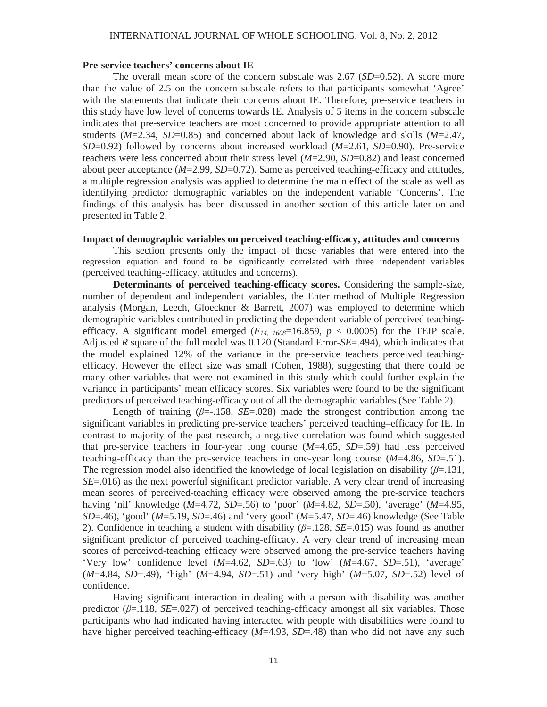#### INTERNATIONAL JOURNAL OF WHOLE SCHOOLING. Vol. 8, No. 2, 2012

#### **Pre-service teachers' concerns about IE**

The overall mean score of the concern subscale was 2.67 (*SD*=0.52). A score more than the value of 2.5 on the concern subscale refers to that participants somewhat 'Agree' with the statements that indicate their concerns about IE. Therefore, pre-service teachers in this study have low level of concerns towards IE. Analysis of 5 items in the concern subscale indicates that pre-service teachers are most concerned to provide appropriate attention to all students (*M*=2.34, *SD*=0.85) and concerned about lack of knowledge and skills (*M*=2.47, *SD*=0.92) followed by concerns about increased workload (*M*=2.61, *SD*=0.90). Pre-service teachers were less concerned about their stress level (*M*=2.90, *SD*=0.82) and least concerned about peer acceptance (*M*=2.99, *SD*=0.72). Same as perceived teaching-efficacy and attitudes, a multiple regression analysis was applied to determine the main effect of the scale as well as identifying predictor demographic variables on the independent variable 'Concerns'. The findings of this analysis has been discussed in another section of this article later on and presented in Table 2.

## **Impact of demographic variables on perceived teaching-efficacy, attitudes and concerns**

This section presents only the impact of those variables that were entered into the regression equation and found to be significantly correlated with three independent variables (perceived teaching-efficacy, attitudes and concerns).

**Determinants of perceived teaching-efficacy scores.** Considering the sample-size, number of dependent and independent variables, the Enter method of Multiple Regression analysis (Morgan, Leech, Gloeckner & Barrett, 2007) was employed to determine which demographic variables contributed in predicting the dependent variable of perceived teachingefficacy. A significant model emerged  $(F_{14, 1608} = 16.859, p < 0.0005)$  for the TEIP scale. Adjusted *R* square of the full model was 0.120 (Standard Error-*SE*=.494), which indicates that the model explained 12% of the variance in the pre-service teachers perceived teachingefficacy. However the effect size was small (Cohen, 1988), suggesting that there could be many other variables that were not examined in this study which could further explain the variance in participants' mean efficacy scores. Six variables were found to be the significant predictors of perceived teaching-efficacy out of all the demographic variables (See Table 2).

Length of training  $(\beta = -158, SE = 0.028)$  made the strongest contribution among the significant variables in predicting pre-service teachers' perceived teaching–efficacy for IE. In contrast to majority of the past research, a negative correlation was found which suggested that pre-service teachers in four-year long course (*M*=4.65, *SD*=.59) had less perceived teaching-efficacy than the pre-service teachers in one-year long course  $(M=4.86, SD=0.51)$ . The regression model also identified the knowledge of local legislation on disability  $(\beta = .131)$ , *SE*=.016) as the next powerful significant predictor variable. A very clear trend of increasing mean scores of perceived-teaching efficacy were observed among the pre-service teachers having 'nil' knowledge (*M*=4.72, *SD*=.56) to 'poor' (*M*=4.82, *SD*=.50), 'average' (*M*=4.95, *SD*=.46), 'good' (*M*=5.19, *SD*=.46) and 'very good' (*M*=5.47, *SD*=.46) knowledge (See Table 2). Confidence in teaching a student with disability  $(\beta = 128, SE = 015)$  was found as another significant predictor of perceived teaching-efficacy. A very clear trend of increasing mean scores of perceived-teaching efficacy were observed among the pre-service teachers having 'Very low' confidence level  $(M=4.62, SD=0.63)$  to 'low'  $(M=4.67, SD=0.51)$ , 'average' (*M*=4.84, *SD*=.49), 'high' (*M*=4.94, *SD*=.51) and 'very high' (*M*=5.07, *SD*=.52) level of confidence.

Having significant interaction in dealing with a person with disability was another predictor  $(\beta = 118, SE = .027)$  of perceived teaching-efficacy amongst all six variables. Those participants who had indicated having interacted with people with disabilities were found to have higher perceived teaching-efficacy (*M*=4.93, *SD*=.48) than who did not have any such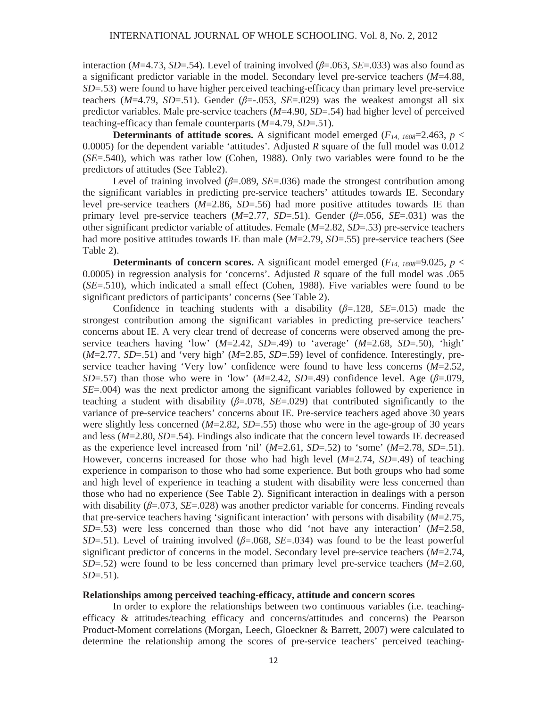interaction ( $M=4.73$ ,  $SD=.54$ ). Level of training involved ( $\beta=.063$ ,  $SE=.033$ ) was also found as a significant predictor variable in the model. Secondary level pre-service teachers (*M*=4.88, *SD*=.53) were found to have higher perceived teaching-efficacy than primary level pre-service teachers ( $M=4.79$ ,  $SD=.51$ ). Gender ( $\beta=.053$ ,  $SE=.029$ ) was the weakest amongst all six predictor variables. Male pre-service teachers (*M*=4.90, *SD*=.54) had higher level of perceived teaching-efficacy than female counterparts (*M*=4.79, *SD*=.51).

**Determinants of attitude scores.** A significant model emerged ( $F_{14,1608}=2.463$ ,  $p <$ 0.0005) for the dependent variable 'attitudes'. Adjusted *R* square of the full model was 0.012 (*SE*=.540), which was rather low (Cohen, 1988). Only two variables were found to be the predictors of attitudes (See Table2).

Level of training involved  $(\beta = 0.089, SE = 0.036)$  made the strongest contribution among the significant variables in predicting pre-service teachers' attitudes towards IE. Secondary level pre-service teachers (*M*=2.86, *SD*=.56) had more positive attitudes towards IE than primary level pre-service teachers  $(M=2.77, SD=0.51)$ . Gender  $(\beta=0.056, SE=0.031)$  was the other significant predictor variable of attitudes. Female (*M*=2.82, *SD*=.53) pre-service teachers had more positive attitudes towards IE than male (*M*=2.79, *SD*=.55) pre-service teachers (See Table 2).

**Determinants of concern scores.** A significant model emerged ( $F_{14, 1608}$ =9.025, *p* < 0.0005) in regression analysis for 'concerns'. Adjusted *R* square of the full model was .065 (*SE*=.510), which indicated a small effect (Cohen, 1988). Five variables were found to be significant predictors of participants' concerns (See Table 2).

Confidence in teaching students with a disability  $(\beta=128, SE=.015)$  made the strongest contribution among the significant variables in predicting pre-service teachers' concerns about IE. A very clear trend of decrease of concerns were observed among the preservice teachers having 'low' (*M*=2.42, *SD*=.49) to 'average' (*M*=2.68, *SD*=.50), 'high' (*M*=2.77, *SD*=.51) and 'very high' (*M*=2.85, *SD*=.59) level of confidence. Interestingly, preservice teacher having 'Very low' confidence were found to have less concerns (*M*=2.52, *SD*=.57) than those who were in 'low' ( $M=2.42$ , *SD*=.49) confidence level. Age ( $\beta$ =.079, *SE*=.004) was the next predictor among the significant variables followed by experience in teaching a student with disability  $(\beta=0.078, SE=.029)$  that contributed significantly to the variance of pre-service teachers' concerns about IE. Pre-service teachers aged above 30 years were slightly less concerned  $(M=2.82, SD=.55)$  those who were in the age-group of 30 years and less (*M*=2.80, *SD*=.54). Findings also indicate that the concern level towards IE decreased as the experience level increased from 'nil'  $(M=2.61, SD=.52)$  to 'some'  $(M=2.78, SD=.51)$ . However, concerns increased for those who had high level (*M*=2.74, *SD*=.49) of teaching experience in comparison to those who had some experience. But both groups who had some and high level of experience in teaching a student with disability were less concerned than those who had no experience (See Table 2). Significant interaction in dealings with a person with disability  $(\beta = .073, SE = .028)$  was another predictor variable for concerns. Finding reveals that pre-service teachers having 'significant interaction' with persons with disability (*M*=2.75, *SD*=.53) were less concerned than those who did 'not have any interaction' (*M*=2.58, *SD*=.51). Level of training involved ( $\beta$ =.068, *SE*=.034) was found to be the least powerful significant predictor of concerns in the model. Secondary level pre-service teachers (*M*=2.74, *SD*=.52) were found to be less concerned than primary level pre-service teachers (*M*=2.60, *SD*=.51).

## **Relationships among perceived teaching-efficacy, attitude and concern scores**

In order to explore the relationships between two continuous variables (i.e. teachingefficacy & attitudes/teaching efficacy and concerns/attitudes and concerns) the Pearson Product-Moment correlations (Morgan, Leech, Gloeckner & Barrett, 2007) were calculated to determine the relationship among the scores of pre-service teachers' perceived teaching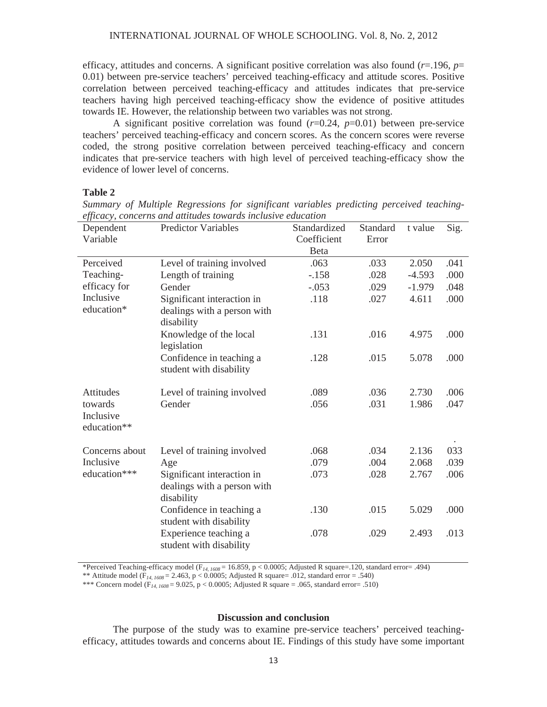efficacy, attitudes and concerns. A significant positive correlation was also found (*r*=.196, *p*= 0.01) between pre-service teachers' perceived teaching-efficacy and attitude scores. Positive correlation between perceived teaching-efficacy and attitudes indicates that pre-service teachers having high perceived teaching-efficacy show the evidence of positive attitudes towards IE. However, the relationship between two variables was not strong.

A significant positive correlation was found  $(r=0.24, p=0.01)$  between pre-service teachers' perceived teaching-efficacy and concern scores. As the concern scores were reverse coded, the strong positive correlation between perceived teaching-efficacy and concern indicates that pre-service teachers with high level of perceived teaching-efficacy show the evidence of lower level of concerns.

#### **Table 2**

| Dependent<br>Variable               | <b>Predictor Variables</b>                                              | Standardized<br>Coefficient | Standard<br>Error | t value  | Sig. |
|-------------------------------------|-------------------------------------------------------------------------|-----------------------------|-------------------|----------|------|
|                                     |                                                                         | <b>B</b> eta                |                   |          |      |
| Perceived                           | Level of training involved                                              | .063                        | .033              | 2.050    | .041 |
| Teaching-                           | Length of training                                                      | $-.158$                     | .028              | $-4.593$ | .000 |
| efficacy for                        | Gender                                                                  | $-.053$                     | .029              | $-1.979$ | .048 |
| Inclusive<br>education*             | Significant interaction in                                              | .118                        | .027              | 4.611    | .000 |
|                                     | dealings with a person with<br>disability                               |                             |                   |          |      |
|                                     | Knowledge of the local<br>legislation                                   | .131                        | .016              | 4.975    | .000 |
|                                     | Confidence in teaching a<br>student with disability                     | .128                        | .015              | 5.078    | .000 |
| Attitudes                           | Level of training involved                                              | .089                        | .036              | 2.730    | .006 |
| towards<br>Inclusive<br>education** | Gender                                                                  | .056                        | .031              | 1.986    | .047 |
|                                     |                                                                         |                             |                   |          |      |
| Concerns about                      | Level of training involved                                              | .068                        | .034              | 2.136    | 033  |
| Inclusive<br>education***           | Age                                                                     | .079                        | .004              | 2.068    | .039 |
|                                     | Significant interaction in<br>dealings with a person with<br>disability | .073                        | .028              | 2.767    | .006 |
|                                     | Confidence in teaching a<br>student with disability                     | .130                        | .015              | 5.029    | .000 |
|                                     | Experience teaching a<br>student with disability                        | .078                        | .029              | 2.493    | .013 |

*Summary of Multiple Regressions for significant variables predicting perceived teachingefficacy, concerns and attitudes towards inclusive education* 

\*Perceived Teaching-efficacy model (F*14, 1608* = 16.859, p < 0.0005; Adjusted R square=.120, standard error= .494)

\*\* Attitude model (F*14, 1608* = 2.463, p < 0.0005; Adjusted R square= .012, standard error = .540)

\*\*\* Concern model ( $F_{14, 1608} = 9.025$ , p < 0.0005; Adjusted R square = .065, standard error= .510)

## **Discussion and conclusion**

The purpose of the study was to examine pre-service teachers' perceived teachingefficacy, attitudes towards and concerns about IE. Findings of this study have some important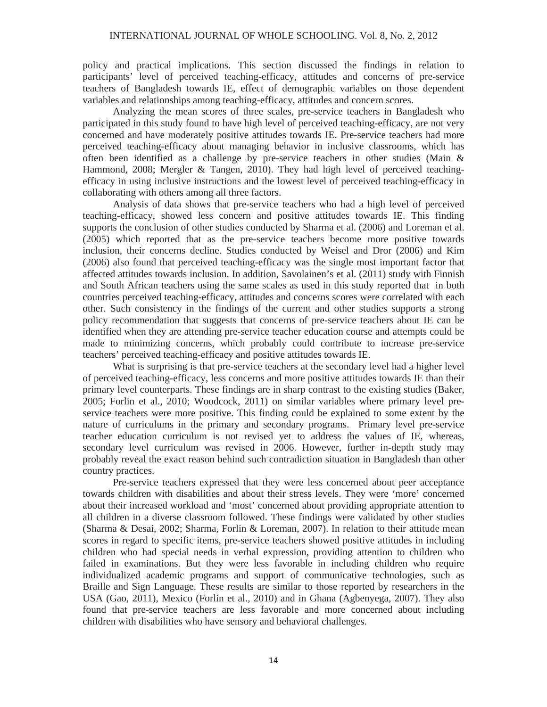policy and practical implications. This section discussed the findings in relation to participants' level of perceived teaching-efficacy, attitudes and concerns of pre-service teachers of Bangladesh towards IE, effect of demographic variables on those dependent variables and relationships among teaching-efficacy, attitudes and concern scores.

Analyzing the mean scores of three scales, pre-service teachers in Bangladesh who participated in this study found to have high level of perceived teaching-efficacy, are not very concerned and have moderately positive attitudes towards IE. Pre-service teachers had more perceived teaching-efficacy about managing behavior in inclusive classrooms, which has often been identified as a challenge by pre-service teachers in other studies (Main & Hammond, 2008; Mergler & Tangen, 2010). They had high level of perceived teachingefficacy in using inclusive instructions and the lowest level of perceived teaching-efficacy in collaborating with others among all three factors.

Analysis of data shows that pre-service teachers who had a high level of perceived teaching-efficacy, showed less concern and positive attitudes towards IE. This finding supports the conclusion of other studies conducted by Sharma et al. (2006) and Loreman et al. (2005) which reported that as the pre-service teachers become more positive towards inclusion, their concerns decline. Studies conducted by Weisel and Dror (2006) and Kim (2006) also found that perceived teaching-efficacy was the single most important factor that affected attitudes towards inclusion. In addition, Savolainen's et al. (2011) study with Finnish and South African teachers using the same scales as used in this study reported that in both countries perceived teaching-efficacy, attitudes and concerns scores were correlated with each other. Such consistency in the findings of the current and other studies supports a strong policy recommendation that suggests that concerns of pre-service teachers about IE can be identified when they are attending pre-service teacher education course and attempts could be made to minimizing concerns, which probably could contribute to increase pre-service teachers' perceived teaching-efficacy and positive attitudes towards IE.

What is surprising is that pre-service teachers at the secondary level had a higher level of perceived teaching-efficacy, less concerns and more positive attitudes towards IE than their primary level counterparts. These findings are in sharp contrast to the existing studies (Baker, 2005; Forlin et al., 2010; Woodcock, 2011) on similar variables where primary level preservice teachers were more positive. This finding could be explained to some extent by the nature of curriculums in the primary and secondary programs. Primary level pre-service teacher education curriculum is not revised yet to address the values of IE, whereas, secondary level curriculum was revised in 2006. However, further in-depth study may probably reveal the exact reason behind such contradiction situation in Bangladesh than other country practices.

Pre-service teachers expressed that they were less concerned about peer acceptance towards children with disabilities and about their stress levels. They were 'more' concerned about their increased workload and 'most' concerned about providing appropriate attention to all children in a diverse classroom followed. These findings were validated by other studies (Sharma & Desai, 2002; Sharma, Forlin & Loreman, 2007). In relation to their attitude mean scores in regard to specific items, pre-service teachers showed positive attitudes in including children who had special needs in verbal expression, providing attention to children who failed in examinations. But they were less favorable in including children who require individualized academic programs and support of communicative technologies, such as Braille and Sign Language. These results are similar to those reported by researchers in the USA (Gao, 2011), Mexico (Forlin et al., 2010) and in Ghana (Agbenyega, 2007). They also found that pre-service teachers are less favorable and more concerned about including children with disabilities who have sensory and behavioral challenges.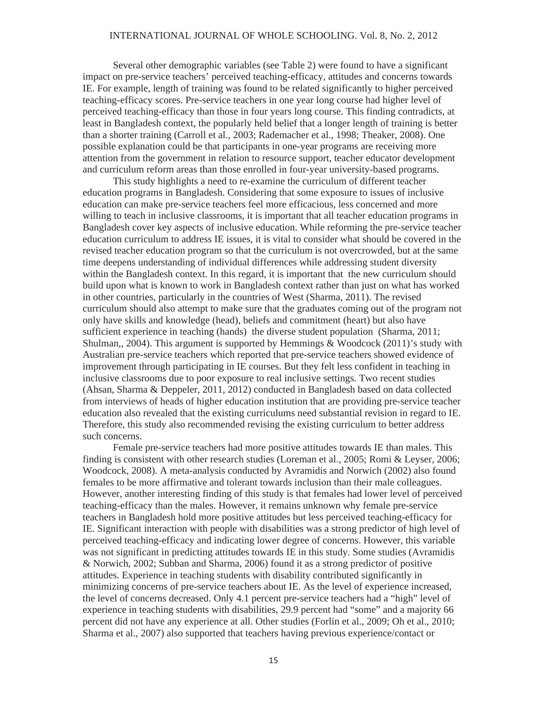#### INTERNATIONAL JOURNAL OF WHOLE SCHOOLING. Vol. 8, No. 2, 2012

Several other demographic variables (see Table 2) were found to have a significant impact on pre-service teachers' perceived teaching-efficacy, attitudes and concerns towards IE. For example, length of training was found to be related significantly to higher perceived teaching-efficacy scores. Pre-service teachers in one year long course had higher level of perceived teaching-efficacy than those in four years long course. This finding contradicts, at least in Bangladesh context, the popularly held belief that a longer length of training is better than a shorter training (Carroll et al., 2003; Rademacher et al., 1998; Theaker, 2008). One possible explanation could be that participants in one-year programs are receiving more attention from the government in relation to resource support, teacher educator development and curriculum reform areas than those enrolled in four-year university-based programs.

This study highlights a need to re-examine the curriculum of different teacher education programs in Bangladesh. Considering that some exposure to issues of inclusive education can make pre-service teachers feel more efficacious, less concerned and more willing to teach in inclusive classrooms, it is important that all teacher education programs in Bangladesh cover key aspects of inclusive education. While reforming the pre-service teacher education curriculum to address IE issues, it is vital to consider what should be covered in the revised teacher education program so that the curriculum is not overcrowded, but at the same time deepens understanding of individual differences while addressing student diversity within the Bangladesh context. In this regard, it is important that the new curriculum should build upon what is known to work in Bangladesh context rather than just on what has worked in other countries, particularly in the countries of West (Sharma, 2011). The revised curriculum should also attempt to make sure that the graduates coming out of the program not only have skills and knowledge (head), beliefs and commitment (heart) but also have sufficient experience in teaching (hands) the diverse student population (Sharma, 2011; Shulman,, 2004). This argument is supported by Hemmings & Woodcock (2011)'s study with Australian pre-service teachers which reported that pre-service teachers showed evidence of improvement through participating in IE courses. But they felt less confident in teaching in inclusive classrooms due to poor exposure to real inclusive settings. Two recent studies (Ahsan, Sharma & Deppeler, 2011, 2012) conducted in Bangladesh based on data collected from interviews of heads of higher education institution that are providing pre-service teacher education also revealed that the existing curriculums need substantial revision in regard to IE. Therefore, this study also recommended revising the existing curriculum to better address such concerns.

Female pre-service teachers had more positive attitudes towards IE than males. This finding is consistent with other research studies (Loreman et al., 2005; Romi & Leyser, 2006; Woodcock, 2008). A meta-analysis conducted by Avramidis and Norwich (2002) also found females to be more affirmative and tolerant towards inclusion than their male colleagues. However, another interesting finding of this study is that females had lower level of perceived teaching-efficacy than the males. However, it remains unknown why female pre-service teachers in Bangladesh hold more positive attitudes but less perceived teaching-efficacy for IE. Significant interaction with people with disabilities was a strong predictor of high level of perceived teaching-efficacy and indicating lower degree of concerns. However, this variable was not significant in predicting attitudes towards IE in this study. Some studies (Avramidis & Norwich, 2002; Subban and Sharma, 2006) found it as a strong predictor of positive attitudes. Experience in teaching students with disability contributed significantly in minimizing concerns of pre-service teachers about IE. As the level of experience increased, the level of concerns decreased. Only 4.1 percent pre-service teachers had a "high" level of experience in teaching students with disabilities, 29.9 percent had "some" and a majority 66 percent did not have any experience at all. Other studies (Forlin et al., 2009; Oh et al., 2010; Sharma et al., 2007) also supported that teachers having previous experience/contact or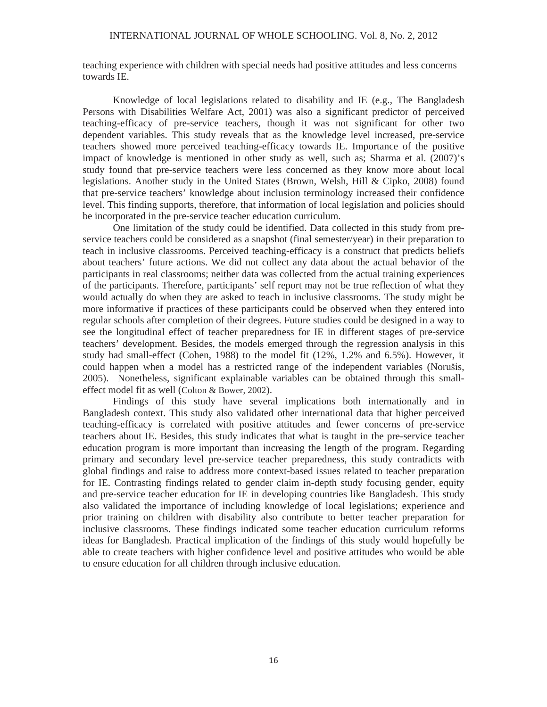teaching experience with children with special needs had positive attitudes and less concerns towards IE.

Knowledge of local legislations related to disability and IE (e.g., The Bangladesh Persons with Disabilities Welfare Act, 2001) was also a significant predictor of perceived teaching-efficacy of pre-service teachers, though it was not significant for other two dependent variables. This study reveals that as the knowledge level increased, pre-service teachers showed more perceived teaching-efficacy towards IE. Importance of the positive impact of knowledge is mentioned in other study as well, such as; Sharma et al. (2007)'s study found that pre-service teachers were less concerned as they know more about local legislations. Another study in the United States (Brown, Welsh, Hill & Cipko, 2008) found that pre-service teachers' knowledge about inclusion terminology increased their confidence level. This finding supports, therefore, that information of local legislation and policies should be incorporated in the pre-service teacher education curriculum.

One limitation of the study could be identified. Data collected in this study from preservice teachers could be considered as a snapshot (final semester/year) in their preparation to teach in inclusive classrooms. Perceived teaching-efficacy is a construct that predicts beliefs about teachers' future actions. We did not collect any data about the actual behavior of the participants in real classrooms; neither data was collected from the actual training experiences of the participants. Therefore, participants' self report may not be true reflection of what they would actually do when they are asked to teach in inclusive classrooms. The study might be more informative if practices of these participants could be observed when they entered into regular schools after completion of their degrees. Future studies could be designed in a way to see the longitudinal effect of teacher preparedness for IE in different stages of pre-service teachers' development. Besides, the models emerged through the regression analysis in this study had small-effect (Cohen, 1988) to the model fit (12%, 1.2% and 6.5%). However, it could happen when a model has a restricted range of the independent variables (Norušis, 2005). Nonetheless, significant explainable variables can be obtained through this smalleffect model fit as well (Colton & Bower, 2002).

Findings of this study have several implications both internationally and in Bangladesh context. This study also validated other international data that higher perceived teaching-efficacy is correlated with positive attitudes and fewer concerns of pre-service teachers about IE. Besides, this study indicates that what is taught in the pre-service teacher education program is more important than increasing the length of the program. Regarding primary and secondary level pre-service teacher preparedness, this study contradicts with global findings and raise to address more context-based issues related to teacher preparation for IE. Contrasting findings related to gender claim in-depth study focusing gender, equity and pre-service teacher education for IE in developing countries like Bangladesh. This study also validated the importance of including knowledge of local legislations; experience and prior training on children with disability also contribute to better teacher preparation for inclusive classrooms. These findings indicated some teacher education curriculum reforms ideas for Bangladesh. Practical implication of the findings of this study would hopefully be able to create teachers with higher confidence level and positive attitudes who would be able to ensure education for all children through inclusive education.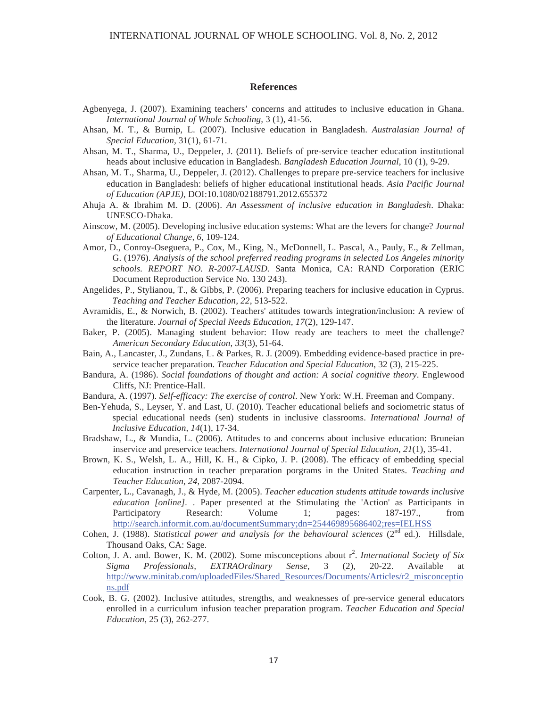#### **References**

- Agbenyega, J. (2007). Examining teachers' concerns and attitudes to inclusive education in Ghana. *International Journal of Whole Schooling,* 3 (1), 41-56.
- Ahsan, M. T., & Burnip, L. (2007). Inclusive education in Bangladesh. *Australasian Journal of Special Education,* 31(1), 61-71.
- Ahsan, M. T., Sharma, U., Deppeler, J. (2011). Beliefs of pre-service teacher education institutional heads about inclusive education in Bangladesh. *Bangladesh Education Journal*, 10 (1), 9-29.
- Ahsan, M. T., Sharma, U., Deppeler, J. (2012). Challenges to prepare pre-service teachers for inclusive education in Bangladesh: beliefs of higher educational institutional heads. *Asia Pacific Journal of Education (APJE)*, DOI:10.1080/02188791.2012.655372
- Ahuja A. & Ibrahim M. D. (2006). *An Assessment of inclusive education in Bangladesh*. Dhaka: UNESCO-Dhaka.
- Ainscow, M. (2005). Developing inclusive education systems: What are the levers for change? *Journal of Educational Change, 6*, 109-124.
- Amor, D., Conroy-Oseguera, P., Cox, M., King, N., McDonnell, L. Pascal, A., Pauly, E., & Zellman, G. (1976). *Analysis of the school preferred reading programs in selected Los Angeles minority schools. REPORT NO. R-2007-LAUSD.* Santa Monica, CA: RAND Corporation (ERIC Document Reproduction Service No. 130 243).
- Angelides, P., Stylianou, T., & Gibbs, P. (2006). Preparing teachers for inclusive education in Cyprus. *Teaching and Teacher Education, 22*, 513-522.
- Avramidis, E., & Norwich, B. (2002). Teachers' attitudes towards integration/inclusion: A review of the literature. *Journal of Special Needs Education, 17*(2), 129-147.
- Baker, P. (2005). Managing student behavior: How ready are teachers to meet the challenge? *American Secondary Education, 33*(3), 51-64.
- Bain, A., Lancaster, J., Zundans, L. & Parkes, R. J. (2009). Embedding evidence-based practice in preservice teacher preparation. *Teacher Education and Special Education*, 32 (3), 215-225.
- Bandura, A. (1986). *Social foundations of thought and action: A social cognitive theory*. Englewood Cliffs, NJ: Prentice-Hall.
- Bandura, A. (1997). *Self-efficacy: The exercise of control*. New York: W.H. Freeman and Company.
- Ben-Yehuda, S., Leyser, Y. and Last, U. (2010). Teacher educational beliefs and sociometric status of special educational needs (sen) students in inclusive classrooms. *International Journal of Inclusive Education, 14*(1), 17-34.
- Bradshaw, L., & Mundia, L. (2006). Attitudes to and concerns about inclusive education: Bruneian inservice and preservice teachers. *International Journal of Special Education, 21*(1), 35-41.
- Brown, K. S., Welsh, L. A., Hill, K. H., & Cipko, J. P. (2008). The efficacy of embedding special education instruction in teacher preparation porgrams in the United States. *Teaching and Teacher Education, 24*, 2087-2094.
- Carpenter, L., Cavanagh, J., & Hyde, M. (2005). *Teacher education students attitude towards inclusive education [online].* . Paper presented at the Stimulating the 'Action' as Participants in Participatory Research: Volume 1; pages: 187-197., from http://search.informit.com.au/documentSummary;dn=254469895686402;res=IELHSS
- Cohen, J. (1988). *Statistical power and analysis for the behavioural sciences* (2<sup>nd</sup> ed.). Hillsdale, Thousand Oaks, CA: Sage.
- Colton, J. A. and. Bower, K. M. (2002). Some misconceptions about r<sup>2</sup>. *International Society of Six Sigma Professionals, EXTRAOrdinary Sense,* 3 (2), 20-22. Available at http://www.minitab.com/uploadedFiles/Shared\_Resources/Documents/Articles/r2\_misconceptio ns.pdf
- Cook, B. G. (2002). Inclusive attitudes, strengths, and weaknesses of pre-service general educators enrolled in a curriculum infusion teacher preparation program. *Teacher Education and Special Education,* 25 (3), 262-277.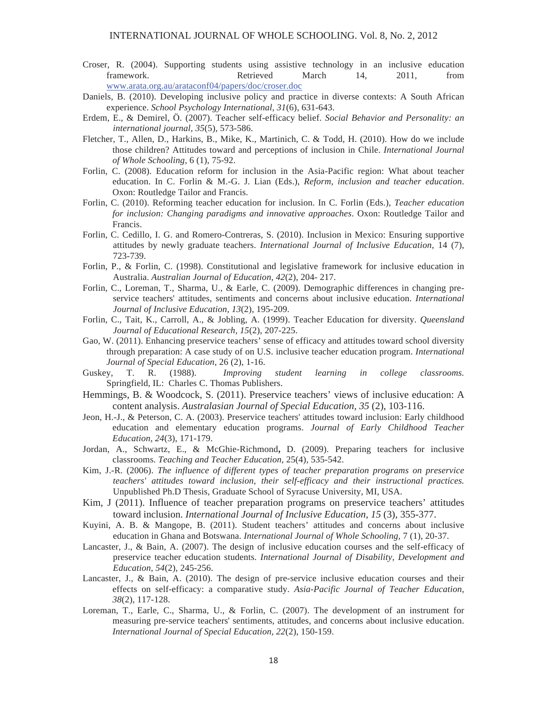- Croser, R. (2004). Supporting students using assistive technology in an inclusive education framework. Retrieved March 14, 2011, from www.arata.org.au/arataconf04/papers/doc/croser.doc
- Daniels, B. (2010). Developing inclusive policy and practice in diverse contexts: A South African experience. *School Psychology International, 31*(6), 631-643.
- Erdem, E., & Demirel, Ö. (2007). Teacher self-efficacy belief. *Social Behavior and Personality: an international journal, 35*(5), 573-586.
- Fletcher, T., Allen, D., Harkins, B., Mike, K., Martinich, C. & Todd, H. (2010). How do we include those children? Attitudes toward and perceptions of inclusion in Chile. *International Journal of Whole Schooling*, 6 (1), 75-92.
- Forlin, C. (2008). Education reform for inclusion in the Asia-Pacific region: What about teacher education. In C. Forlin & M.-G. J. Lian (Eds.), *Reform, inclusion and teacher education*. Oxon: Routledge Tailor and Francis.
- Forlin, C. (2010). Reforming teacher education for inclusion. In C. Forlin (Eds.), *Teacher education for inclusion: Changing paradigms and innovative approaches*. Oxon: Routledge Tailor and Francis.
- Forlin, C. Cedillo, I. G. and Romero-Contreras, S. (2010). Inclusion in Mexico: Ensuring supportive attitudes by newly graduate teachers. *International Journal of Inclusive Education*, 14 (7), 723-739.
- Forlin, P., & Forlin, C. (1998). Constitutional and legislative framework for inclusive education in Australia. *Australian Journal of Education, 42*(2), 204- 217.
- Forlin, C., Loreman, T., Sharma, U., & Earle, C. (2009). Demographic differences in changing preservice teachers' attitudes, sentiments and concerns about inclusive education. *International Journal of Inclusive Education, 13*(2), 195-209.
- Forlin, C., Tait, K., Carroll, A., & Jobling, A. (1999). Teacher Education for diversity. *Queensland Journal of Educational Research, 15*(2), 207-225.
- Gao, W. (2011). Enhancing preservice teachers' sense of efficacy and attitudes toward school diversity through preparation: A case study of on U.S. inclusive teacher education program. *International Journal of Special Education*, 26 (2), 1-16.
- Guskey, T. R. (1988). *Improving student learning in college classrooms.*  Springfield, IL: Charles C. Thomas Publishers.
- Hemmings, B. & Woodcock, S. (2011). Preservice teachers' views of inclusive education: A content analysis. *Australasian Journal of Special Education, 35* (2), 103-116.
- Jeon, H.-J., & Peterson, C. A. (2003). Preservice teachers' attitudes toward inclusion: Early childhood education and elementary education programs. *Journal of Early Childhood Teacher Education, 24*(3), 171-179.
- Jordan, A., Schwartz, E., & McGhie-Richmond**,** D. (2009). Preparing teachers for inclusive classrooms. *Teaching and Teacher Education,* 25(4), 535-542.
- Kim, J.-R. (2006). *The influence of different types of teacher preparation programs on preservice teachers' attitudes toward inclusion, their self-efficacy and their instructional practices.* Unpublished Ph.D Thesis, Graduate School of Syracuse University, MI, USA.
- Kim, J (2011). Influence of teacher preparation programs on preservice teachers' attitudes toward inclusion. *International Journal of Inclusive Education, 15* (3), 355-377.
- Kuyini, A. B. & Mangope, B. (2011). Student teachers' attitudes and concerns about inclusive education in Ghana and Botswana. *International Journal of Whole Schooling,* 7 (1), 20-37.
- Lancaster, J., & Bain, A. (2007). The design of inclusive education courses and the self-efficacy of preservice teacher education students. *International Journal of Disability, Development and Education, 54*(2), 245-256.
- Lancaster, J., & Bain, A. (2010). The design of pre-service inclusive education courses and their effects on self-efficacy: a comparative study. *Asia-Pacific Journal of Teacher Education, 38*(2), 117-128.
- Loreman, T., Earle, C., Sharma, U., & Forlin, C. (2007). The development of an instrument for measuring pre-service teachers' sentiments, attitudes, and concerns about inclusive education. *International Journal of Special Education, 22*(2), 150-159.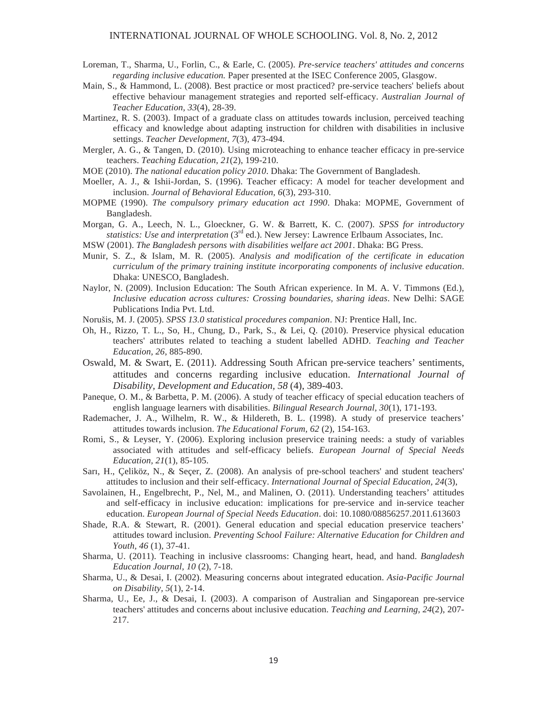- Loreman, T., Sharma, U., Forlin, C., & Earle, C. (2005). *Pre-service teachers' attitudes and concerns regarding inclusive education.* Paper presented at the ISEC Conference 2005, Glasgow.
- Main, S., & Hammond, L. (2008). Best practice or most practiced? pre-service teachers' beliefs about effective behaviour management strategies and reported self-efficacy. *Australian Journal of Teacher Education, 33*(4), 28-39.
- Martinez, R. S. (2003). Impact of a graduate class on attitudes towards inclusion, perceived teaching efficacy and knowledge about adapting instruction for children with disabilities in inclusive settings. *Teacher Development, 7*(3), 473-494.
- Mergler, A. G., & Tangen, D. (2010). Using microteaching to enhance teacher efficacy in pre-service teachers. *Teaching Education, 21*(2), 199-210.
- MOE (2010). *The national education policy 2010*. Dhaka: The Government of Bangladesh.
- Moeller, A. J., & Ishii-Jordan, S. (1996). Teacher efficacy: A model for teacher development and inclusion. *Journal of Behavioral Education, 6*(3), 293-310.
- MOPME (1990). *The compulsory primary education act 1990*. Dhaka: MOPME, Government of Bangladesh.
- Morgan, G. A., Leech, N. L., Gloeckner, G. W. & Barrett, K. C. (2007). *SPSS for introductory statistics: Use and interpretation* (3<sup>rd</sup> ed.). New Jersey: Lawrence Erlbaum Associates, Inc.
- MSW (2001). *The Bangladesh persons with disabilities welfare act 2001*. Dhaka: BG Press.
- Munir, S. Z., & Islam, M. R. (2005). *Analysis and modification of the certificate in education curriculum of the primary training institute incorporating components of inclusive education*. Dhaka: UNESCO, Bangladesh.
- Naylor, N. (2009). Inclusion Education: The South African experience. In M. A. V. Timmons (Ed.), *Inclusive education across cultures: Crossing boundaries, sharing ideas*. New Delhi: SAGE Publications India Pvt. Ltd.
- Noruis, M. J. (2005). *SPSS 13.0 statistical procedures companion*. NJ: Prentice Hall, Inc.
- Oh, H., Rizzo, T. L., So, H., Chung, D., Park, S., & Lei, Q. (2010). Preservice physical education teachers' attributes related to teaching a student labelled ADHD. *Teaching and Teacher Education, 26*, 885-890.
- Oswald, M. & Swart, E. (2011). Addressing South African pre-service teachers' sentiments, attitudes and concerns regarding inclusive education. *International Journal of Disability, Development and Education, 58* (4), 389-403.
- Paneque, O. M., & Barbetta, P. M. (2006). A study of teacher efficacy of special education teachers of english language learners with disabilities. *Bilingual Research Journal, 30*(1), 171-193.
- Rademacher, J. A., Wilhelm, R. W., & Hildereth, B. L. (1998). A study of preservice teachers' attitudes towards inclusion. *The Educational Forum, 62* (2), 154-163.
- Romi, S., & Leyser, Y. (2006). Exploring inclusion preservice training needs: a study of variables associated with attitudes and self-efficacy beliefs. *European Journal of Special Needs Education, 21*(1), 85-105.
- Sarı, H., Çeliköz, N., & Seçer, Z. (2008). An analysis of pre-school teachers' and student teachers' attitudes to inclusion and their self-efficacy. *International Journal of Special Education, 24*(3),
- Savolainen, H., Engelbrecht, P., Nel, M., and Malinen, O. (2011). Understanding teachers' attitudes and self-efficacy in inclusive education: implications for pre-service and in-service teacher education. *European Journal of Special Needs Education*. doi: 10.1080/08856257.2011.613603
- Shade, R.A. & Stewart, R. (2001). General education and special education preservice teachers' attitudes toward inclusion. *Preventing School Failure: Alternative Education for Children and Youth, 46* (1), 37-41.
- Sharma, U. (2011). Teaching in inclusive classrooms: Changing heart, head, and hand. *Bangladesh Education Journal, 10* (2), 7-18.
- Sharma, U., & Desai, I. (2002). Measuring concerns about integrated education. *Asia-Pacific Journal on Disability, 5*(1), 2-14.
- Sharma, U., Ee, J., & Desai, I. (2003). A comparison of Australian and Singaporean pre-service teachers' attitudes and concerns about inclusive education. *Teaching and Learning, 24*(2), 207- 217.